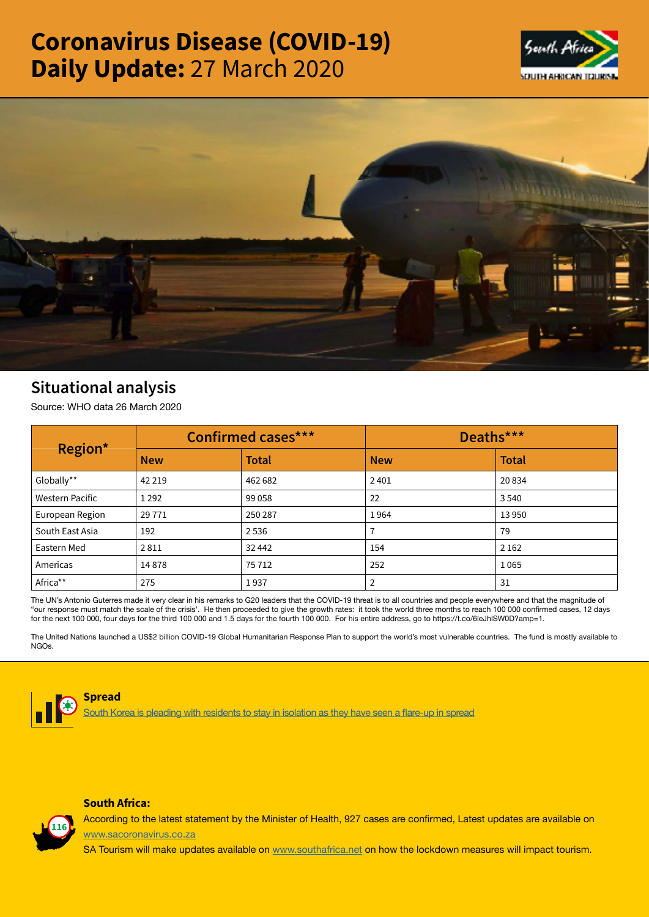# Coronavirus Disease (COVID-19) Daily Update: 27 March 2020





## Situational analysis

Source: WHO data 26 March 2020

| Region*         | <b>Confirmed cases***</b> |              | Deaths***  |              |
|-----------------|---------------------------|--------------|------------|--------------|
|                 | <b>New</b>                | <b>Total</b> | <b>New</b> | <b>Total</b> |
| Globally**      | 42 2 19                   | 462 682      | 2401       | 20834        |
| Western Pacific | 1 2 9 2                   | 99 0 58      | 22         | 3540         |
| European Region | 29 7 7 1                  | 250 287      | 1964       | 13 9 50      |
| South East Asia | 192                       | 2536         |            | 79           |
| Eastern Med     | 2811                      | 32 442       | 154        | 2 1 6 2      |
| Americas        | 14878                     | 75 712       | 252        | 1065         |
| Africa**        | 275                       | 1937         |            | 31           |

The UN's Antonio Guterres made it very clear in his remarks to G20 leaders that the COVID-19 threat is to all countries and people everywhere and that the magnitude of "our response must match the scale of the crisis'. He then proceeded to give the growth rates: it took the world three months to reach 100 000 confirmed cases, 12 days for the next 100 000, four days for the third 100 000 and 1.5 days for the fourth 100 000. For his entire address, go to https://t.co/6leJhlSW0D?amp=1.

The United Nations launched a US\$2 billion COVID-19 Global Humanitarian Response Plan to support the world's most vulnerable countries. The fund is mostly available to NGOs.



#### Spread

South Africa:

s pleading with residents to stay in isolation as they have seen a flare-up in spread



According to the latest statement by the Minister of Health, 927 cases are confirmed, Latest updates are available on [www.sacoronavirus.co.za](http://www.sacoronavirus.co.za)

SA Tourism will make updates available on [www.southafrica.net](http://www.southafrica.net) on how the lockdown measures will impact tourism.